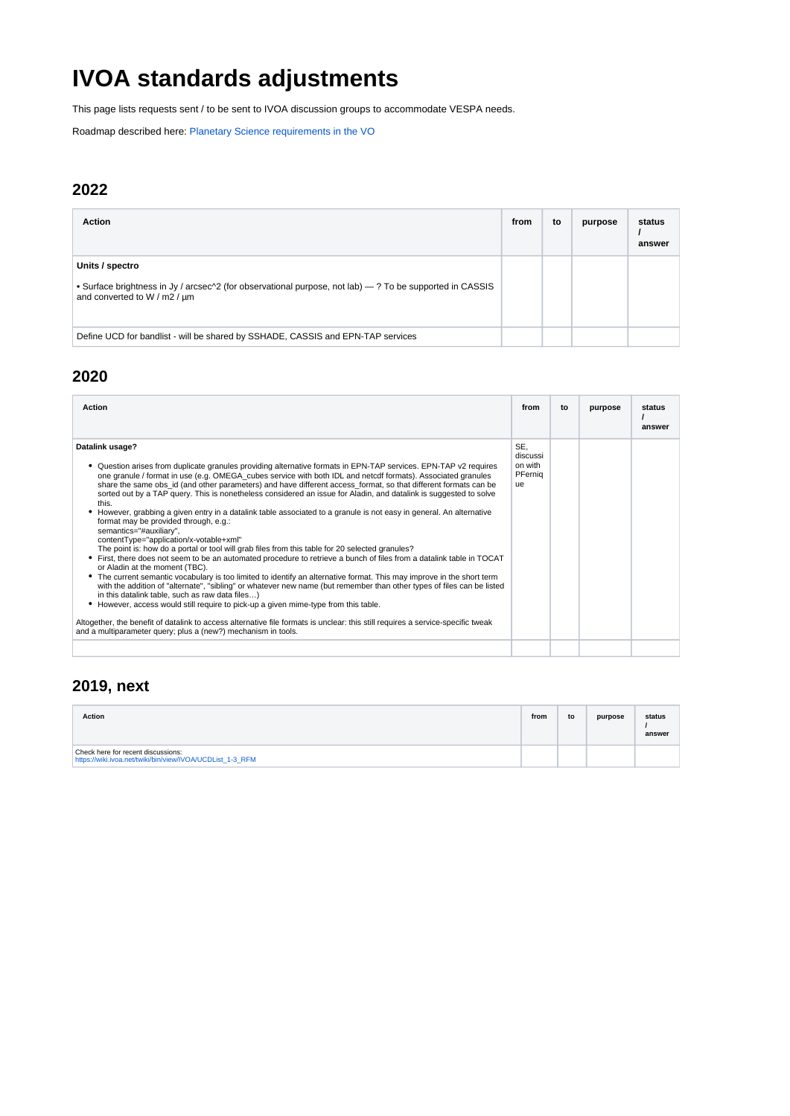# **IVOA standards adjustments**

This page lists requests sent / to be sent to IVOA discussion groups to accommodate VESPA needs.

Roadmap described here: [Planetary Science requirements in the VO](https://voparis-wiki.obspm.fr/display/VES/Planetary+Science+requirements+in+the+VO)

#### **2022**

| <b>Action</b>                                                                                                                                                                             | from | to | purpose | status<br>answer |
|-------------------------------------------------------------------------------------------------------------------------------------------------------------------------------------------|------|----|---------|------------------|
| Units / spectro<br>• Surface brightness in Jy / arcsec <sup><math>\land</math></sup> 2 (for observational purpose, not lab) — ? To be supported in CASSIS<br>and converted to W / m2 / µm |      |    |         |                  |
| Define UCD for bandlist - will be shared by SSHADE, CASSIS and EPN-TAP services                                                                                                           |      |    |         |                  |

#### **2020**

| Action                                                                                                                                                                                                                                                                                                                                                                                                                                                                                                                                                                                                                                                                                                                                                                                                                                                                                                                                                                                                                                                                                                                                                                                                                                                                                                                                                                                                                                                                                                                                                                                                          | from                                        | to | purpose | status<br>answer |
|-----------------------------------------------------------------------------------------------------------------------------------------------------------------------------------------------------------------------------------------------------------------------------------------------------------------------------------------------------------------------------------------------------------------------------------------------------------------------------------------------------------------------------------------------------------------------------------------------------------------------------------------------------------------------------------------------------------------------------------------------------------------------------------------------------------------------------------------------------------------------------------------------------------------------------------------------------------------------------------------------------------------------------------------------------------------------------------------------------------------------------------------------------------------------------------------------------------------------------------------------------------------------------------------------------------------------------------------------------------------------------------------------------------------------------------------------------------------------------------------------------------------------------------------------------------------------------------------------------------------|---------------------------------------------|----|---------|------------------|
| Datalink usage?<br>• Question arises from duplicate granules providing alternative formats in EPN-TAP services. EPN-TAP v2 requires<br>one granule / format in use (e.g. OMEGA_cubes service with both IDL and netcdf formats). Associated granules<br>share the same obs id (and other parameters) and have different access format, so that different formats can be<br>sorted out by a TAP query. This is nonetheless considered an issue for Aladin, and datalink is suggested to solve<br>this.<br>However, grabbing a given entry in a datalink table associated to a granule is not easy in general. An alternative<br>format may be provided through, e.g.:<br>semantics="#auxiliary",<br>contentType="application/x-votable+xml"<br>The point is: how do a portal or tool will grab files from this table for 20 selected granules?<br>• First, there does not seem to be an automated procedure to retrieve a bunch of files from a datalink table in TOCAT<br>or Aladin at the moment (TBC).<br>The current semantic vocabulary is too limited to identify an alternative format. This may improve in the short term<br>٠<br>with the addition of "alternate", "sibling" or whatever new name (but remember than other types of files can be listed<br>in this datalink table, such as raw data files)<br>However, access would still require to pick-up a given mime-type from this table.<br>٠<br>Altogether, the benefit of datalink to access alternative file formats is unclear: this still requires a service-specific tweak<br>and a multiparameter query; plus a (new?) mechanism in tools. | SE.<br>discussi<br>on with<br>PFernig<br>ue |    |         |                  |
|                                                                                                                                                                                                                                                                                                                                                                                                                                                                                                                                                                                                                                                                                                                                                                                                                                                                                                                                                                                                                                                                                                                                                                                                                                                                                                                                                                                                                                                                                                                                                                                                                 |                                             |    |         |                  |

#### **2019, next**

| Action                                                                                          | from | to | purpose | status<br>answer |
|-------------------------------------------------------------------------------------------------|------|----|---------|------------------|
| Check here for recent discussions:<br>https://wiki.ivoa.net/twiki/bin/view/IVOA/UCDList 1-3 RFM |      |    |         |                  |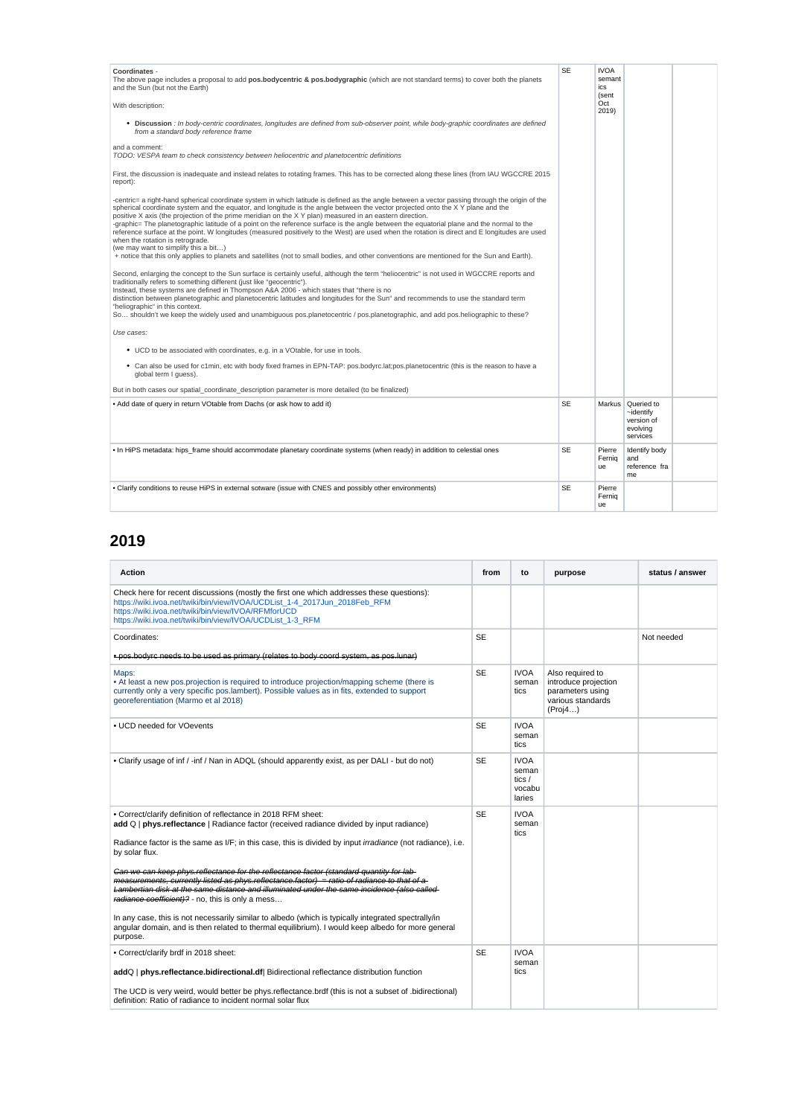| Coordinates -<br>The above page includes a proposal to add pos.bodycentric & pos.bodygraphic (which are not standard terms) to cover both the planets<br>and the Sun (but not the Earth)                                                                                                                                                                                                                                                                                                                                                                                                                                                                                                                                                                                                                                                                                                                               | <b>SE</b> | <b>IVOA</b><br>semant<br>ics<br>(sent |                                                                              |  |
|------------------------------------------------------------------------------------------------------------------------------------------------------------------------------------------------------------------------------------------------------------------------------------------------------------------------------------------------------------------------------------------------------------------------------------------------------------------------------------------------------------------------------------------------------------------------------------------------------------------------------------------------------------------------------------------------------------------------------------------------------------------------------------------------------------------------------------------------------------------------------------------------------------------------|-----------|---------------------------------------|------------------------------------------------------------------------------|--|
| With description:                                                                                                                                                                                                                                                                                                                                                                                                                                                                                                                                                                                                                                                                                                                                                                                                                                                                                                      |           | Oct<br>2019)                          |                                                                              |  |
| • Discussion : In body-centric coordinates, longitudes are defined from sub-observer point, while body-graphic coordinates are defined<br>from a standard body reference frame                                                                                                                                                                                                                                                                                                                                                                                                                                                                                                                                                                                                                                                                                                                                         |           |                                       |                                                                              |  |
| and a comment:<br>TODO: VESPA team to check consistency between heliocentric and planetocentric definitions                                                                                                                                                                                                                                                                                                                                                                                                                                                                                                                                                                                                                                                                                                                                                                                                            |           |                                       |                                                                              |  |
| First, the discussion is inadequate and instead relates to rotating frames. This has to be corrected along these lines (from IAU WGCCRE 2015<br>report):                                                                                                                                                                                                                                                                                                                                                                                                                                                                                                                                                                                                                                                                                                                                                               |           |                                       |                                                                              |  |
| -centric= a right-hand spherical coordinate system in which latitude is defined as the angle between a vector passing through the origin of the<br>spherical coordinate system and the equator, and longitude is the angle between the vector projected onto the XY plane and the<br>positive X axis (the projection of the prime meridian on the X Y plan) measured in an eastern direction.<br>-graphic= The planetographic latitude of a point on the reference surface is the angle between the equatorial plane and the normal to the<br>reference surface at the point. W longitudes (measured positively to the West) are used when the rotation is direct and E longitudes are used<br>when the rotation is retrograde.<br>(we may want to simplify this a bit)<br>+ notice that this only applies to planets and satellites (not to small bodies, and other conventions are mentioned for the Sun and Earth). |           |                                       |                                                                              |  |
| Second, enlarging the concept to the Sun surface is certainly useful, although the term "heliocentric" is not used in WGCCRE reports and<br>traditionally refers to something different (just like "geocentric").<br>Instead, these systems are defined in Thompson A&A 2006 - which states that "there is no<br>distinction between planetographic and planetocentric latitudes and longitudes for the Sun" and recommends to use the standard term<br>"heliographic" in this context.<br>So shouldn't we keep the widely used and unambiguous pos.planetocentric / pos.planetographic, and add pos.heliographic to these?                                                                                                                                                                                                                                                                                            |           |                                       |                                                                              |  |
| Use cases:                                                                                                                                                                                                                                                                                                                                                                                                                                                                                                                                                                                                                                                                                                                                                                                                                                                                                                             |           |                                       |                                                                              |  |
| • UCD to be associated with coordinates, e.g. in a VOtable, for use in tools.                                                                                                                                                                                                                                                                                                                                                                                                                                                                                                                                                                                                                                                                                                                                                                                                                                          |           |                                       |                                                                              |  |
| • Can also be used for c1min, etc with body fixed frames in EPN-TAP: pos.bodyrc.lat:pos.planetocentric (this is the reason to have a<br>global term I guess).                                                                                                                                                                                                                                                                                                                                                                                                                                                                                                                                                                                                                                                                                                                                                          |           |                                       |                                                                              |  |
| But in both cases our spatial coordinate description parameter is more detailed (to be finalized)                                                                                                                                                                                                                                                                                                                                                                                                                                                                                                                                                                                                                                                                                                                                                                                                                      |           |                                       |                                                                              |  |
| . Add date of query in return VOtable from Dachs (or ask how to add it)                                                                                                                                                                                                                                                                                                                                                                                                                                                                                                                                                                                                                                                                                                                                                                                                                                                | <b>SE</b> |                                       | Markus   Queried to<br>$\sim$ identify<br>version of<br>evolving<br>services |  |
| . In HiPS metadata: hips_frame should accommodate planetary coordinate systems (when ready) in addition to celestial ones                                                                                                                                                                                                                                                                                                                                                                                                                                                                                                                                                                                                                                                                                                                                                                                              | <b>SE</b> | Pierre<br>Fernia<br>ue                | Identify body<br>and<br>reference fra<br>me                                  |  |
| . Clarify conditions to reuse HiPS in external sotware (issue with CNES and possibly other environments)                                                                                                                                                                                                                                                                                                                                                                                                                                                                                                                                                                                                                                                                                                                                                                                                               | <b>SE</b> | Pierre<br>Fernia<br>ue                |                                                                              |  |

## **2019**

| <b>Action</b>                                                                                                                                                                                                                                                                                                                                                                                                                                                                                                                                                                                                                                                                                                                                                                                                                                                  | from      | to                                                   | purpose                                                                                      | status / answer |
|----------------------------------------------------------------------------------------------------------------------------------------------------------------------------------------------------------------------------------------------------------------------------------------------------------------------------------------------------------------------------------------------------------------------------------------------------------------------------------------------------------------------------------------------------------------------------------------------------------------------------------------------------------------------------------------------------------------------------------------------------------------------------------------------------------------------------------------------------------------|-----------|------------------------------------------------------|----------------------------------------------------------------------------------------------|-----------------|
| Check here for recent discussions (mostly the first one which addresses these questions):<br>https://wiki.ivoa.net/twiki/bin/view/IVOA/UCDList 1-4 2017Jun 2018Feb RFM<br>https://wiki.ivoa.net/twiki/bin/view/IVOA/RFMforUCD<br>https://wiki.ivoa.net/twiki/bin/view/IVOA/UCDList 1-3 RFM                                                                                                                                                                                                                                                                                                                                                                                                                                                                                                                                                                     |           |                                                      |                                                                                              |                 |
| Coordinates:                                                                                                                                                                                                                                                                                                                                                                                                                                                                                                                                                                                                                                                                                                                                                                                                                                                   | <b>SE</b> |                                                      |                                                                                              | Not needed      |
| * pos.bodyre noods to be used as primary (relates to body coord system, as pos.lunar)                                                                                                                                                                                                                                                                                                                                                                                                                                                                                                                                                                                                                                                                                                                                                                          |           |                                                      |                                                                                              |                 |
| Maps:<br>• At least a new pos.projection is required to introduce projection/mapping scheme (there is<br>currently only a very specific pos.lambert). Possible values as in fits, extended to support<br>georeferentiation (Marmo et al 2018)                                                                                                                                                                                                                                                                                                                                                                                                                                                                                                                                                                                                                  | <b>SE</b> | <b>IVOA</b><br>seman<br>tics                         | Also required to<br>introduce projection<br>parameters using<br>various standards<br>(Proj4) |                 |
| • UCD needed for VOevents                                                                                                                                                                                                                                                                                                                                                                                                                                                                                                                                                                                                                                                                                                                                                                                                                                      | <b>SE</b> | <b>IVOA</b><br>seman<br>tics                         |                                                                                              |                 |
| . Clarify usage of inf / -inf / Nan in ADQL (should apparently exist, as per DALI - but do not)                                                                                                                                                                                                                                                                                                                                                                                                                                                                                                                                                                                                                                                                                                                                                                | <b>SE</b> | <b>IVOA</b><br>seman<br>tics $/$<br>vocabu<br>laries |                                                                                              |                 |
| . Correct/clarify definition of reflectance in 2018 RFM sheet:<br>add Q   phys.reflectance   Radiance factor (received radiance divided by input radiance)<br>Radiance factor is the same as I/F; in this case, this is divided by input irradiance (not radiance), i.e.<br>by solar flux.<br>Can we can keep phys.reflectance for the reflectance factor (standard quantity for lab-<br>moasuromonts, currently listed as phys.rofloctance.factor) = ratio of radiance to that of a<br>Lambortian disk at the same distance and illuminated under the same incidence (also called<br>radiance coofficient)? - no, this is only a mess<br>In any case, this is not necessarily similar to albedo (which is typically integrated spectrally/in<br>angular domain, and is then related to thermal equilibrium). I would keep albedo for more general<br>purpose. | <b>SE</b> | <b>IVOA</b><br>seman<br>tics                         |                                                                                              |                 |
| • Correct/clarify brdf in 2018 sheet:<br>addQ   phys.reflectance.bidirectional.df  Bidirectional reflectance distribution function<br>The UCD is very weird, would better be phys.reflectance.brdf (this is not a subset of .bidirectional)<br>definition: Ratio of radiance to incident normal solar flux                                                                                                                                                                                                                                                                                                                                                                                                                                                                                                                                                     | <b>SE</b> | <b>IVOA</b><br>seman<br>tics                         |                                                                                              |                 |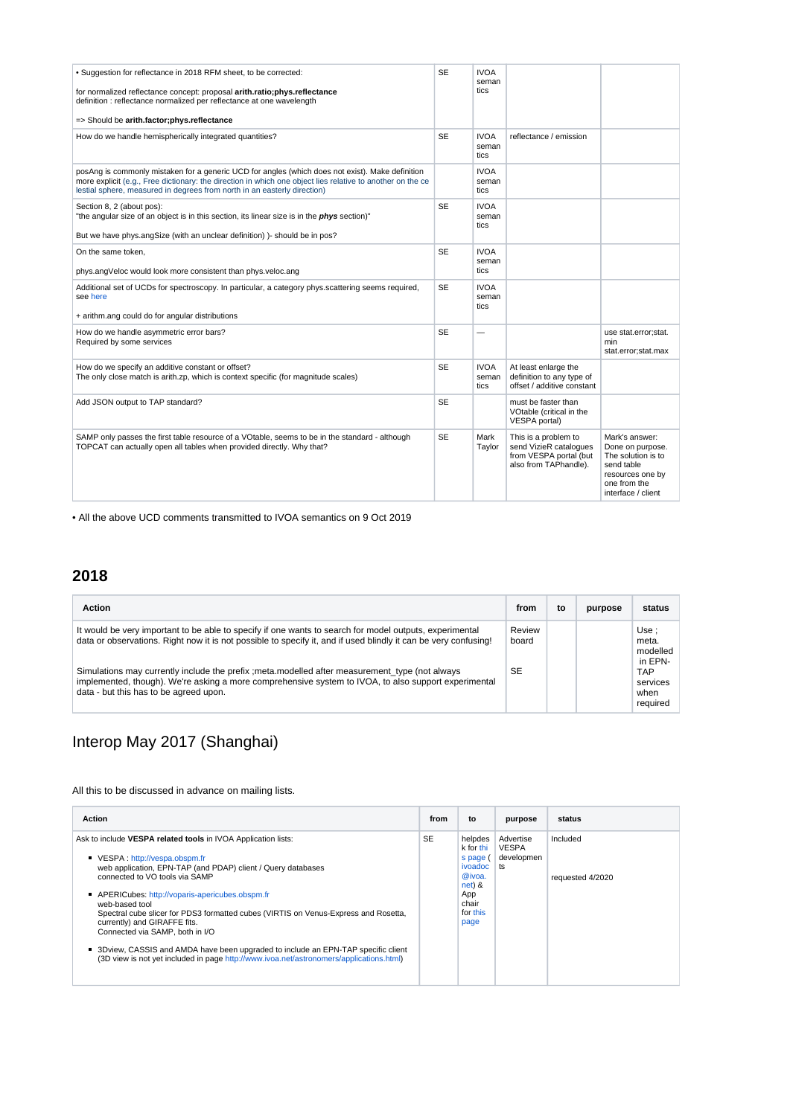| • Suggestion for reflectance in 2018 RFM sheet, to be corrected:<br>for normalized reflectance concept: proposal arith.ratio;phys.reflectance<br>definition : reflectance normalized per reflectance at one wavelength<br>=> Should be arith.factor;phys.reflectance                       | <b>SE</b> | <b>IVOA</b><br>seman<br>tics |                                                                                                   |                                                                                                                                  |
|--------------------------------------------------------------------------------------------------------------------------------------------------------------------------------------------------------------------------------------------------------------------------------------------|-----------|------------------------------|---------------------------------------------------------------------------------------------------|----------------------------------------------------------------------------------------------------------------------------------|
| How do we handle hemispherically integrated quantities?                                                                                                                                                                                                                                    | <b>SE</b> | <b>IVOA</b><br>seman<br>tics | reflectance / emission                                                                            |                                                                                                                                  |
| posAng is commonly mistaken for a generic UCD for angles (which does not exist). Make definition<br>more explicit (e.g., Free dictionary: the direction in which one object lies relative to another on the ce<br>lestial sphere, measured in degrees from north in an easterly direction) |           | <b>IVOA</b><br>seman<br>tics |                                                                                                   |                                                                                                                                  |
| Section 8, 2 (about pos):<br>"the angular size of an object is in this section, its linear size is in the <i>phys</i> section)"<br>But we have phys.angSize (with an unclear definition) )- should be in pos?                                                                              | <b>SE</b> | <b>IVOA</b><br>seman<br>tics |                                                                                                   |                                                                                                                                  |
| On the same token,<br>phys.angVeloc would look more consistent than phys.veloc.ang                                                                                                                                                                                                         | <b>SE</b> | <b>IVOA</b><br>seman<br>tics |                                                                                                   |                                                                                                                                  |
| Additional set of UCDs for spectroscopy. In particular, a category phys.scattering seems required,<br>see here<br>+ arithm.ang could do for angular distributions                                                                                                                          | <b>SE</b> | <b>IVOA</b><br>seman<br>tics |                                                                                                   |                                                                                                                                  |
| How do we handle asymmetric error bars?<br>Required by some services                                                                                                                                                                                                                       | <b>SE</b> |                              |                                                                                                   | use stat.error;stat.<br>min<br>stat.error;stat.max                                                                               |
| How do we specify an additive constant or offset?<br>The only close match is arith.zp, which is context specific (for magnitude scales)                                                                                                                                                    | <b>SE</b> | <b>IVOA</b><br>seman<br>tics | At least enlarge the<br>definition to any type of<br>offset / additive constant                   |                                                                                                                                  |
| Add JSON output to TAP standard?                                                                                                                                                                                                                                                           | <b>SE</b> |                              | must be faster than<br>VOtable (critical in the<br>VESPA portal)                                  |                                                                                                                                  |
| SAMP only passes the first table resource of a VOtable, seems to be in the standard - although<br>TOPCAT can actually open all tables when provided directly. Why that?                                                                                                                    | <b>SE</b> | Mark<br>Taylor               | This is a problem to<br>send VizieR catalogues<br>from VESPA portal (but<br>also from TAPhandle). | Mark's answer:<br>Done on purpose.<br>The solution is to<br>send table<br>resources one by<br>one from the<br>interface / client |

• All the above UCD comments transmitted to IVOA semantics on 9 Oct 2019

### **2018**

| <b>Action</b>                                                                                                                                                                                                                                                                                                                                                                                                                                                                   | from                  | to | purpose | status                                                                      |
|---------------------------------------------------------------------------------------------------------------------------------------------------------------------------------------------------------------------------------------------------------------------------------------------------------------------------------------------------------------------------------------------------------------------------------------------------------------------------------|-----------------------|----|---------|-----------------------------------------------------------------------------|
| It would be very important to be able to specify if one wants to search for model outputs, experimental<br>data or observations. Right now it is not possible to specify it, and if used blindly it can be very confusing!<br>Simulations may currently include the prefix ; meta modelled after measurement type (not always<br>implemented, though). We're asking a more comprehensive system to IVOA, to also support experimental<br>data - but this has to be agreed upon. | Review<br>board<br>SE |    |         | Use:<br>meta.<br>modelled<br>in EPN-<br>TAP<br>services<br>when<br>required |

## Interop May 2017 (Shanghai)

All this to be discussed in advance on mailing lists.

| <b>Action</b>                                                                                                                                                                                                                                                                                                                                                                                                                                                                                                                                                                                                  | from      | to                                                                                                    | purpose                                       | status                       |
|----------------------------------------------------------------------------------------------------------------------------------------------------------------------------------------------------------------------------------------------------------------------------------------------------------------------------------------------------------------------------------------------------------------------------------------------------------------------------------------------------------------------------------------------------------------------------------------------------------------|-----------|-------------------------------------------------------------------------------------------------------|-----------------------------------------------|------------------------------|
| Ask to include VESPA related tools in IVOA Application lists:<br>VESPA: http://vespa.obspm.fr<br>web application, EPN-TAP (and PDAP) client / Query databases<br>connected to VO tools via SAMP<br>APERICubes: http://voparis-apericubes.obspm.fr<br>web-based tool<br>Spectral cube slicer for PDS3 formatted cubes (VIRTIS on Venus-Express and Rosetta,<br>currently) and GIRAFFE fits.<br>Connected via SAMP, both in I/O<br>■ 3Dview, CASSIS and AMDA have been upgraded to include an EPN-TAP specific client<br>(3D view is not yet included in page http://www.ivoa.net/astronomers/applications.html) | <b>SE</b> | helpdes<br>k for thi<br>s page (<br>ivoadoc<br>@ivoa.<br>$net)$ &<br>App<br>chair<br>for this<br>page | Advertise<br><b>VESPA</b><br>developmen<br>ts | Included<br>requested 4/2020 |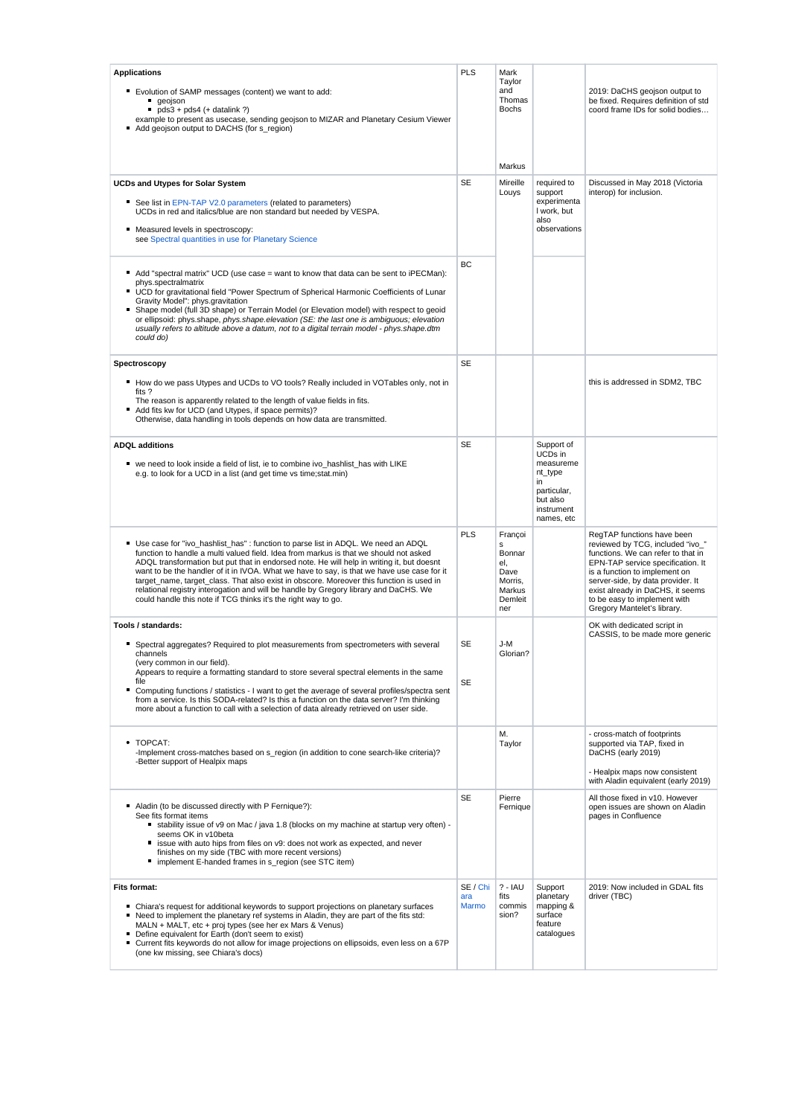| <b>Applications</b><br>Evolution of SAMP messages (content) we want to add:<br>geojson<br>$pds3 + pds4$ (+ datalink ?)<br>example to present as usecase, sending geojson to MIZAR and Planetary Cesium Viewer<br>Add geojson output to DACHS (for s region)                                                                                                                                                                                                                                                                                                                                                                   | PLS                      | Mark<br>Taylor<br>and<br>Thomas<br><b>Bochs</b><br>Markus                    |                                                                                                            | 2019: DaCHS geojson output to<br>be fixed. Requires definition of std<br>coord frame IDs for solid bodies                                                                                                                                                                                                          |
|-------------------------------------------------------------------------------------------------------------------------------------------------------------------------------------------------------------------------------------------------------------------------------------------------------------------------------------------------------------------------------------------------------------------------------------------------------------------------------------------------------------------------------------------------------------------------------------------------------------------------------|--------------------------|------------------------------------------------------------------------------|------------------------------------------------------------------------------------------------------------|--------------------------------------------------------------------------------------------------------------------------------------------------------------------------------------------------------------------------------------------------------------------------------------------------------------------|
| <b>UCDs and Utypes for Solar System</b><br>See list in EPN-TAP V2.0 parameters (related to parameters)<br>UCDs in red and italics/blue are non standard but needed by VESPA.<br>Measured levels in spectroscopy:<br>see Spectral quantities in use for Planetary Science                                                                                                                                                                                                                                                                                                                                                      | <b>SE</b>                | Mireille<br>Louys                                                            | required to<br>support<br>experimenta<br>I work, but<br>also<br>observations                               | Discussed in May 2018 (Victoria<br>interop) for inclusion.                                                                                                                                                                                                                                                         |
| Add "spectral matrix" UCD (use case = want to know that data can be sent to iPECMan):<br>phys.spectralmatrix<br>■ UCD for gravitational field "Power Spectrum of Spherical Harmonic Coefficients of Lunar<br>Gravity Model": phys.gravitation<br>Shape model (full 3D shape) or Terrain Model (or Elevation model) with respect to geoid<br>or ellipsoid: phys.shape, phys.shape.elevation (SE: the last one is ambiguous; elevation<br>usually refers to altitude above a datum, not to a digital terrain model - phys.shape.dtm<br>could do)                                                                                | ВC                       |                                                                              |                                                                                                            |                                                                                                                                                                                                                                                                                                                    |
| Spectroscopy<br>■ How do we pass Utypes and UCDs to VO tools? Really included in VOTables only, not in<br>fits?<br>The reason is apparently related to the length of value fields in fits.<br>Add fits kw for UCD (and Utypes, if space permits)?<br>Otherwise, data handling in tools depends on how data are transmitted.                                                                                                                                                                                                                                                                                                   | <b>SE</b>                |                                                                              |                                                                                                            | this is addressed in SDM2, TBC                                                                                                                                                                                                                                                                                     |
| <b>ADQL</b> additions<br>■ we need to look inside a field of list, ie to combine ivo_hashlist_has with LIKE<br>e.g. to look for a UCD in a list (and get time vs time; stat.min)                                                                                                                                                                                                                                                                                                                                                                                                                                              | <b>SE</b>                |                                                                              | Support of<br>UCDs in<br>measureme<br>nt_type<br>in<br>particular,<br>but also<br>instrument<br>names, etc |                                                                                                                                                                                                                                                                                                                    |
| ■ Use case for "ivo_hashlist_has" : function to parse list in ADQL. We need an ADQL<br>function to handle a multi valued field. Idea from markus is that we should not asked<br>ADQL transformation but put that in endorsed note. He will help in writing it, but doesnt<br>want to be the handler of it in IVOA. What we have to say, is that we have use case for it<br>target_name, target_class. That also exist in obscore. Moreover this function is used in<br>relational registry interogation and will be handle by Gregory library and DaCHS. We<br>could handle this note if TCG thinks it's the right way to go. | PLS                      | Françoi<br>s<br>Bonnar<br>el.<br>Dave<br>Morris,<br>Markus<br>Demleit<br>ner |                                                                                                            | RegTAP functions have been<br>reviewed by TCG, included "ivo_"<br>functions. We can refer to that in<br>EPN-TAP service specification. It<br>is a function to implement on<br>server-side, by data provider. It<br>exist already in DaCHS, it seems<br>to be easy to implement with<br>Gregory Mantelet's library. |
| Tools / standards:<br>■ Spectral aggregates? Required to plot measurements from spectrometers with several<br>channels<br>(very common in our field).<br>Appears to require a formatting standard to store several spectral elements in the same<br>file<br>■ Computing functions / statistics - I want to get the average of several profiles/spectra sent<br>from a service. Is this SODA-related? Is this a function on the data server? I'm thinking<br>more about a function to call with a selection of data already retrieved on user side.                                                                            | SE<br>SE                 | J-M<br>Glorian?                                                              |                                                                                                            | OK with dedicated script in<br>CASSIS, to be made more generic                                                                                                                                                                                                                                                     |
| • TOPCAT:<br>-Implement cross-matches based on s_region (in addition to cone search-like criteria)?<br>-Better support of Healpix maps                                                                                                                                                                                                                                                                                                                                                                                                                                                                                        |                          | М.<br>Taylor                                                                 |                                                                                                            | - cross-match of footprints<br>supported via TAP, fixed in<br>DaCHS (early 2019)<br>- Healpix maps now consistent<br>with Aladin equivalent (early 2019)                                                                                                                                                           |
| Aladin (to be discussed directly with P Fernique?):<br>See fits format items<br>stability issue of v9 on Mac / java 1.8 (blocks on my machine at startup very often) -<br>seems OK in v10beta<br>issue with auto hips from files on v9: does not work as expected, and never<br>finishes on my side (TBC with more recent versions)<br>implement E-handed frames in s_region (see STC item)                                                                                                                                                                                                                                   | <b>SE</b>                | Pierre<br>Fernique                                                           |                                                                                                            | All those fixed in v10. However<br>open issues are shown on Aladin<br>pages in Confluence                                                                                                                                                                                                                          |
| <b>Fits format:</b><br>■ Chiara's request for additional keywords to support projections on planetary surfaces<br>Need to implement the planetary ref systems in Aladin, they are part of the fits std:<br>MALN + MALT, etc + proj types (see her ex Mars & Venus)<br>Define equivalent for Earth (don't seem to exist)<br>■ Current fits keywords do not allow for image projections on ellipsoids, even less on a 67P<br>(one kw missing, see Chiara's docs)                                                                                                                                                                | SE / Chi<br>ara<br>Marmo | $? - IAU$<br>fits<br>commis<br>sion?                                         | Support<br>planetary<br>mapping &<br>surface<br>feature<br>catalogues                                      | 2019: Now included in GDAL fits<br>driver (TBC)                                                                                                                                                                                                                                                                    |